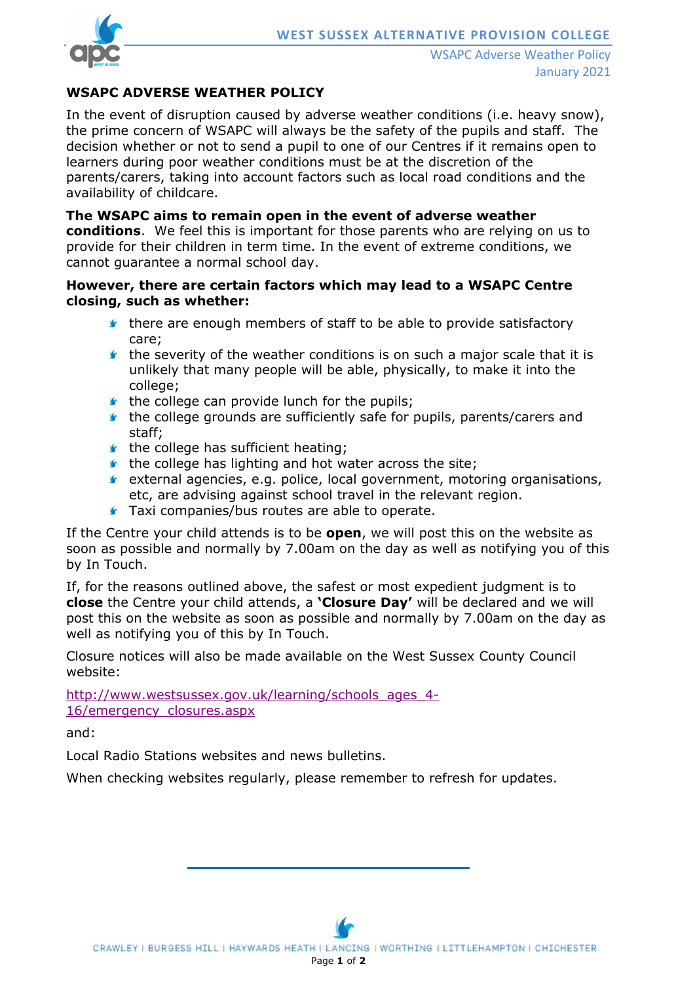

### **WSAPC ADVERSE WEATHER POLICY**

In the event of disruption caused by adverse weather conditions (i.e. heavy snow), the prime concern of WSAPC will always be the safety of the pupils and staff. The decision whether or not to send a pupil to one of our Centres if it remains open to learners during poor weather conditions must be at the discretion of the parents/carers, taking into account factors such as local road conditions and the availability of childcare.

**The WSAPC aims to remain open in the event of adverse weather conditions**. We feel this is important for those parents who are relying on us to provide for their children in term time. In the event of extreme conditions, we cannot guarantee a normal school day.

#### **However, there are certain factors which may lead to a WSAPC Centre closing, such as whether:**

- **there are enough members of staff to be able to provide satisfactory** care;
- $\bullet$  the severity of the weather conditions is on such a major scale that it is unlikely that many people will be able, physically, to make it into the college;
- $\bullet$  the college can provide lunch for the pupils;
- $\bullet$  the college grounds are sufficiently safe for pupils, parents/carers and staff;
- $\bullet$  the college has sufficient heating;
- $\bullet$  the college has lighting and hot water across the site;
- $\bullet$  external agencies, e.g. police, local government, motoring organisations, etc, are advising against school travel in the relevant region.
- **Taxi companies/bus routes are able to operate.**

If the Centre your child attends is to be **open**, we will post this on the website as soon as possible and normally by 7.00am on the day as well as notifying you of this by In Touch.

If, for the reasons outlined above, the safest or most expedient judgment is to **close** the Centre your child attends, a **'Closure Day'** will be declared and we will post this on the website as soon as possible and normally by 7.00am on the day as well as notifying you of this by In Touch.

Closure notices will also be made available on the West Sussex County Council website:

[http://www.westsussex.gov.uk/learning/schools\\_ages\\_4-](http://www.westsussex.gov.uk/learning/schools_ages_4-16/emergency_closures.aspx) [16/emergency\\_closures.aspx](http://www.westsussex.gov.uk/learning/schools_ages_4-16/emergency_closures.aspx)

and:

Local Radio Stations websites and news bulletins.

When checking websites regularly, please remember to refresh for updates.